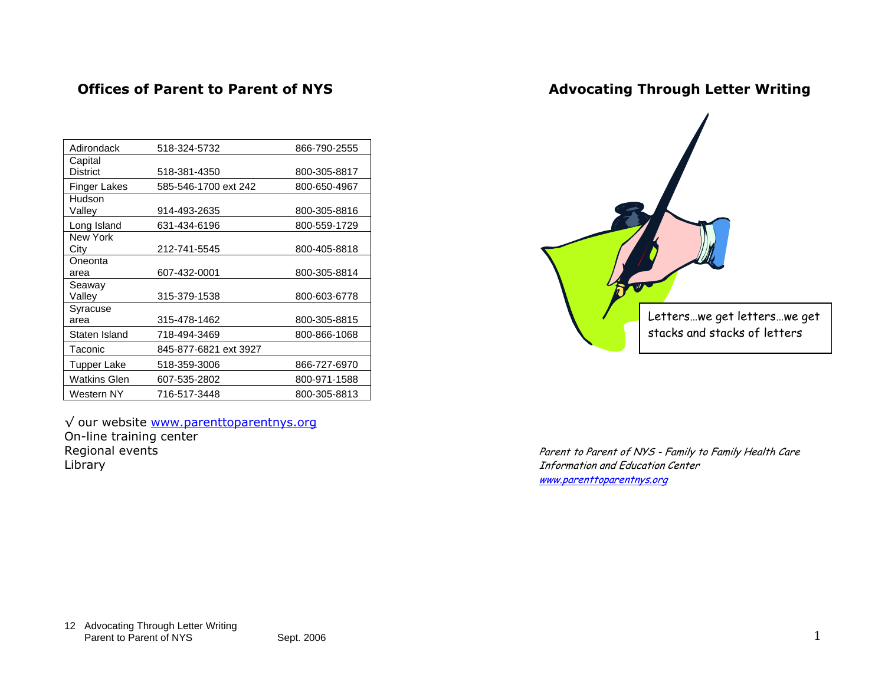### **Offices of Parent to Parent of NYS**

## **Advocating Through Letter Writing**

| Adirondack          | 518-324-5732          | 866-790-2555 |
|---------------------|-----------------------|--------------|
| Capital             |                       |              |
| <b>District</b>     | 518-381-4350          | 800-305-8817 |
| Finger Lakes        | 585-546-1700 ext 242  | 800-650-4967 |
| Hudson              |                       |              |
| Valley              | 914-493-2635          | 800-305-8816 |
| Long Island         | 631-434-6196          | 800-559-1729 |
| New York            |                       |              |
| City                | 212-741-5545          | 800-405-8818 |
| Oneonta             |                       |              |
| area                | 607-432-0001          | 800-305-8814 |
| Seaway              |                       |              |
| Valley              | 315-379-1538          | 800-603-6778 |
| Syracuse            |                       |              |
| area                | 315-478-1462          | 800-305-8815 |
| Staten Island       | 718-494-3469          | 800-866-1068 |
| Taconic             | 845-877-6821 ext 3927 |              |
| Tupper Lake         | 518-359-3006          | 866-727-6970 |
| <b>Watkins Glen</b> | 607-535-2802          | 800-971-1588 |
| Western NY          | 716-517-3448          | 800-305-8813 |

√ our website www.parenttoparentnys.org On-line training center Regional events Library



Parent to Parent of NYS - Family to Family Health Care Information and Education Center www.parenttoparentnys.org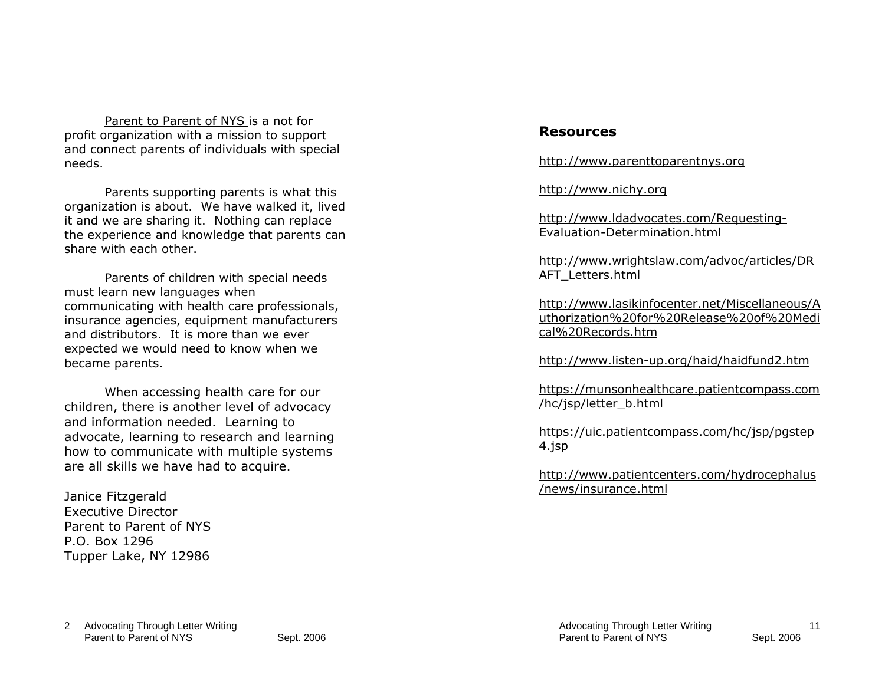Parent to Parent of NYS is a not for profit organization with a mission to support and connect parents of individuals with special needs.

*Parents supporting parents* is what this organization is about. We have walked it, lived it and we are sharing it. Nothing can replace the experience and knowledge that parents can share with each other.

Parents of children with special needs must learn new languages when communicating with health care professionals, insurance agencies, equipment manufacturers and distributors. It is more than we ever expected we would need to know when we became parents.

When accessing health care for our children, there is another level of advocacy and information needed. Learning to advocate, learning to research and learning how to communicate with multiple systems are all skills we have had to acquire.

Janice Fitzgerald Executive Director Parent to Parent of NYS P.O. Box 1296 Tupper Lake, NY 12986

### **Resources**

http://www.parenttoparentnys.org

http://www.nichy.org

http://www.ldadvocates.com/Requesting-Evaluation-Determination.html

http://www.wrightslaw.com/advoc/articles/DR AFT\_Letters.html

http://www.lasikinfocenter.net/Miscellaneous/A uthorization%20for%20Release%20of%20Medical%20Records.htm

http://www.listen-up.org/haid/haidfund2.htm

https://munsonhealthcare.patientcompass.com /hc/jsp/letter\_b.html

https://uic.patientcompass.com/hc/jsp/pgstep 4.jsp

http://www.patientcenters.com/hydrocephalus /news/insurance.html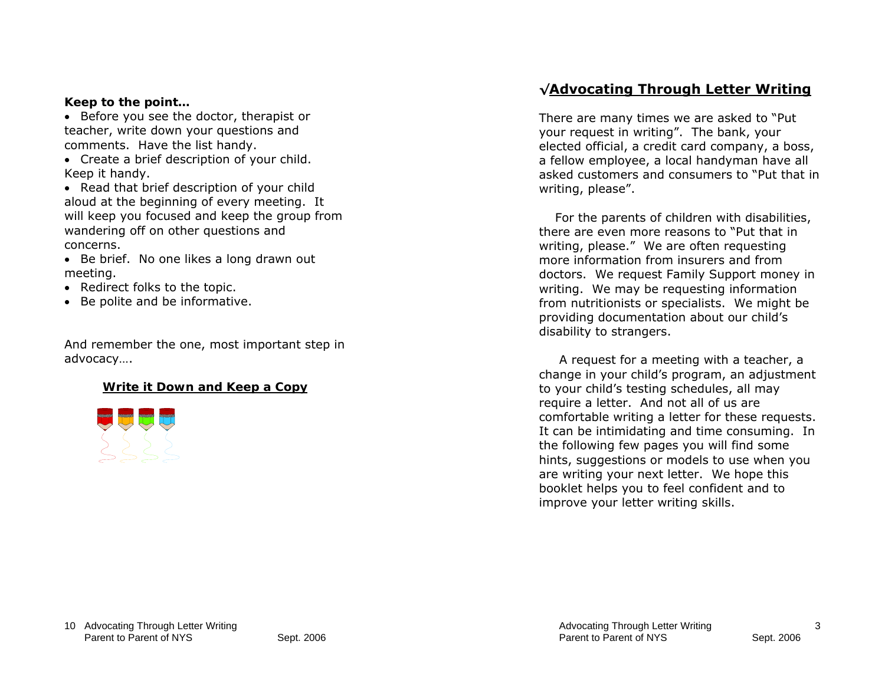#### *Keep to the point…*

• Before you see the doctor, therapist or teacher, write down your questions and comments. Have the list handy.

• Create a brief description of your child. Keep it handy.

• Read that brief description of your child aloud at the beginning of every meeting. It will keep you focused and keep the group from wandering off on other questions and concerns.

• Be brief. No one likes a long drawn out meeting.

- Redirect folks to the topic.
- Be polite and be informative.

And remember the one, most important step in advocacy….

#### *Write it Down and Keep a Copy*



## **√Advocating Through Letter Writing**

There are many times we are asked to "Put your request in writing". The bank, your elected official, a credit card company, a boss, a fellow employee, a local handyman have all asked customers and consumers to "Put that in writing, please".

 For the parents of children with disabilities, there are even more reasons to "Put that in writing, please." We are often requesting more information from insurers and from doctors. We request Family Support money in writing. We may be requesting information from nutritionists or specialists. We might be providing documentation about our child's disability to strangers.

 A request for a meeting with a teacher, a change in your child's program, an adjustment to your child's testing schedules, all may require a letter. And not all of us are comfortable writing a letter for these requests. It can be intimidating and time consuming. In the following few pages you will find some hints, suggestions or models to use when you are writing your next letter. We hope this booklet helps you to feel confident and to improve your letter writing skills.

3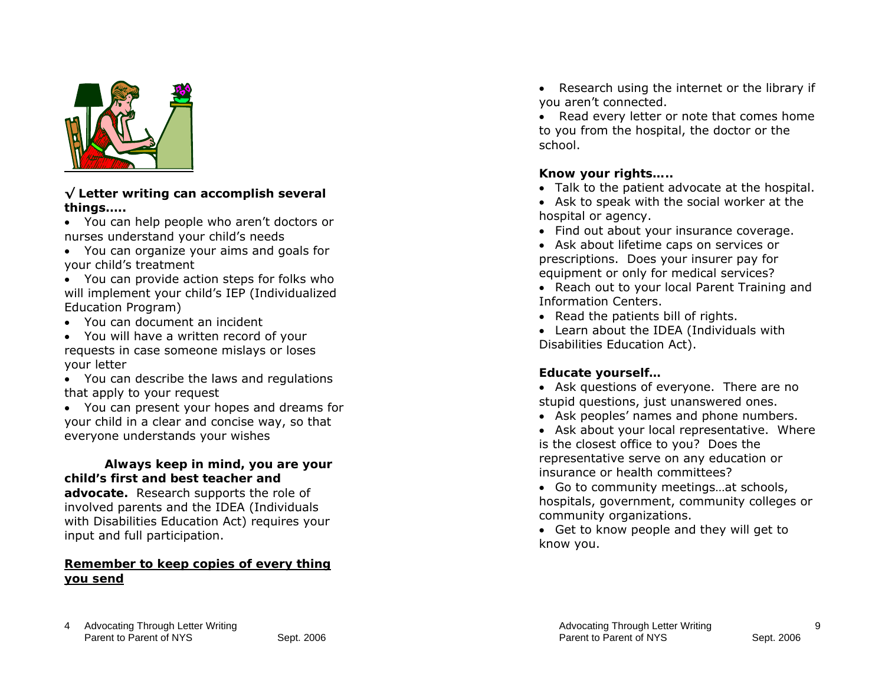

#### **√ Letter writing can accomplish several things…..**

- You can help people who aren't doctors or nurses understand your child's needs
- You can organize your aims and goals for your child's treatment
- You can provide action steps for folks who will implement your child's IEP (Individualized Education Program)
- You can document an incident
- You will have a written record of your requests in case someone mislays or loses your letter
- You can describe the laws and regulations that apply to your request
- You can present your hopes and dreams for your child in a clear and concise way, so that everyone understands your wishes

### *Always keep in mind, you are your child's first and best teacher and*

*advocate.* Research supports the role of involved parents and the IDEA (Individuals with Disabilities Education Act) requires your input and full participation.

#### *Remember to keep copies of every thing you send*

• Research using the internet or the library if you aren't connected.

• Read every letter or note that comes home to you from the hospital, the doctor or the school.

### *Know your rights…..*

- Talk to the patient advocate at the hospital.
- Ask to speak with the social worker at the hospital or agency.
- Find out about your insurance coverage.
- Ask about lifetime caps on services or prescriptions. Does your insurer pay for equipment or only for medical services?
- Reach out to your local Parent Training and Information Centers.
- Read the patients bill of rights.
- Learn about the IDEA (Individuals with Disabilities Education Act).

## *Educate yourself…*

- Ask questions of everyone. There are no stupid questions, just unanswered ones.
- Ask peoples' names and phone numbers.
- Ask about your local representative. Where is the closest office to you? Does the representative serve on any education or insurance or health committees?
- Go to community meetings…at schools, hospitals, government, community colleges or community organizations.
- Get to know people and they will get to know you.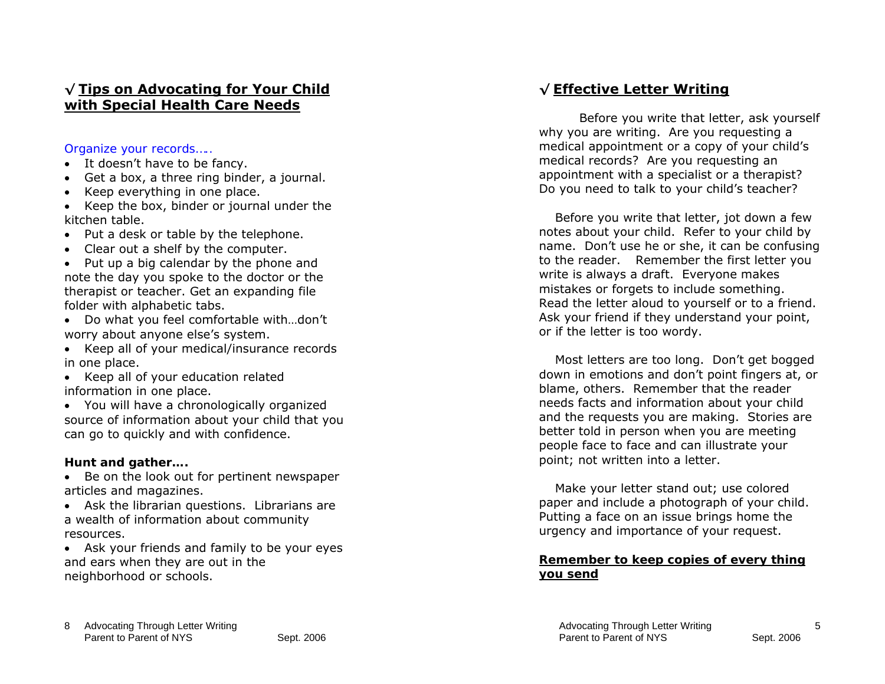## **√ Tips on Advocating for Your Child with Special Health Care Needs**

*Organize your records…..* 

- It doesn't have to be fancy.
- Get a box, a three ring binder, a journal.
- Keep everything in one place.

• Keep the box, binder or journal under the kitchen table.

- Put a desk or table by the telephone.
- Clear out a shelf by the computer.

• Put up a big calendar by the phone and note the day you spoke to the doctor or the therapist or teacher. Get an expanding file folder with alphabetic tabs.

• Do what you feel comfortable with…don't worry about anyone else's system.

• Keep all of your medical/insurance records in one place.

• Keep all of your education related information in one place.

• You will have a chronologically organized source of information about your child that you can go to quickly and with confidence.

#### *Hunt and gather….*

• Be on the look out for pertinent newspaper articles and magazines.

• Ask the librarian questions. Librarians are a wealth of information about community resources.

• Ask your friends and family to be your eyes and ears when they are out in the neighborhood or schools.

# **√ Effective Letter Writing**

Before you write that letter, ask yourself why you are writing. Are you requesting a medical appointment or a copy of your child's medical records? Are you requesting an appointment with a specialist or a therapist? Do you need to talk to your child's teacher?

 Before you write that letter, jot down a few notes about your child. Refer to your child by name. Don't use he or she, it can be confusing to the reader. Remember the first letter you write is always a draft. Everyone makes mistakes or forgets to include something. Read the letter aloud to yourself or to a friend. Ask your friend if they understand your point, or if the letter is too wordy.

 Most letters are too long. Don't get bogged down in emotions and don't point fingers at, or blame, others. Remember that the reader needs facts and information about your child and the requests you are making. Stories are better told in person when you are meeting people face to face and can illustrate your point; not written into a letter.

 Make your letter stand out; use colored paper and include a photograph of your child. Putting a face on an issue brings home the urgency and importance of your request.

#### *Remember to keep copies of every thing you send*

5